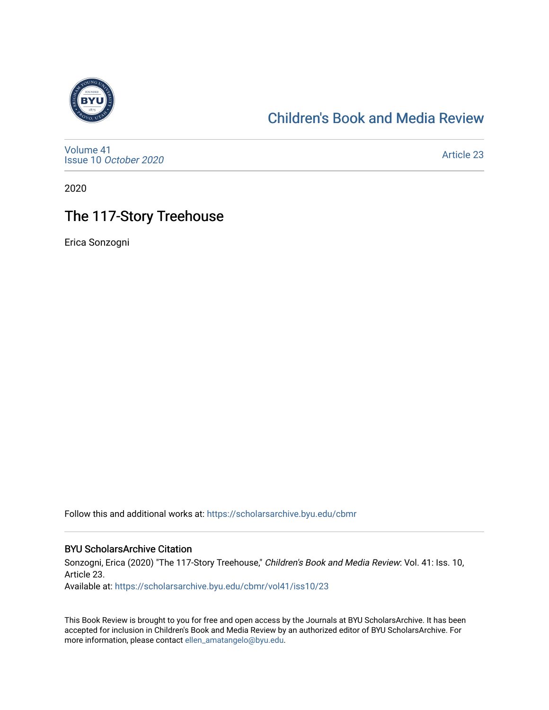

### [Children's Book and Media Review](https://scholarsarchive.byu.edu/cbmr)

[Volume 41](https://scholarsarchive.byu.edu/cbmr/vol41) Issue 10 [October 2020](https://scholarsarchive.byu.edu/cbmr/vol41/iss10)

[Article 23](https://scholarsarchive.byu.edu/cbmr/vol41/iss10/23) 

2020

# The 117-Story Treehouse

Erica Sonzogni

Follow this and additional works at: [https://scholarsarchive.byu.edu/cbmr](https://scholarsarchive.byu.edu/cbmr?utm_source=scholarsarchive.byu.edu%2Fcbmr%2Fvol41%2Fiss10%2F23&utm_medium=PDF&utm_campaign=PDFCoverPages) 

#### BYU ScholarsArchive Citation

Sonzogni, Erica (2020) "The 117-Story Treehouse," Children's Book and Media Review: Vol. 41: Iss. 10, Article 23. Available at: [https://scholarsarchive.byu.edu/cbmr/vol41/iss10/23](https://scholarsarchive.byu.edu/cbmr/vol41/iss10/23?utm_source=scholarsarchive.byu.edu%2Fcbmr%2Fvol41%2Fiss10%2F23&utm_medium=PDF&utm_campaign=PDFCoverPages) 

This Book Review is brought to you for free and open access by the Journals at BYU ScholarsArchive. It has been accepted for inclusion in Children's Book and Media Review by an authorized editor of BYU ScholarsArchive. For more information, please contact [ellen\\_amatangelo@byu.edu.](mailto:ellen_amatangelo@byu.edu)